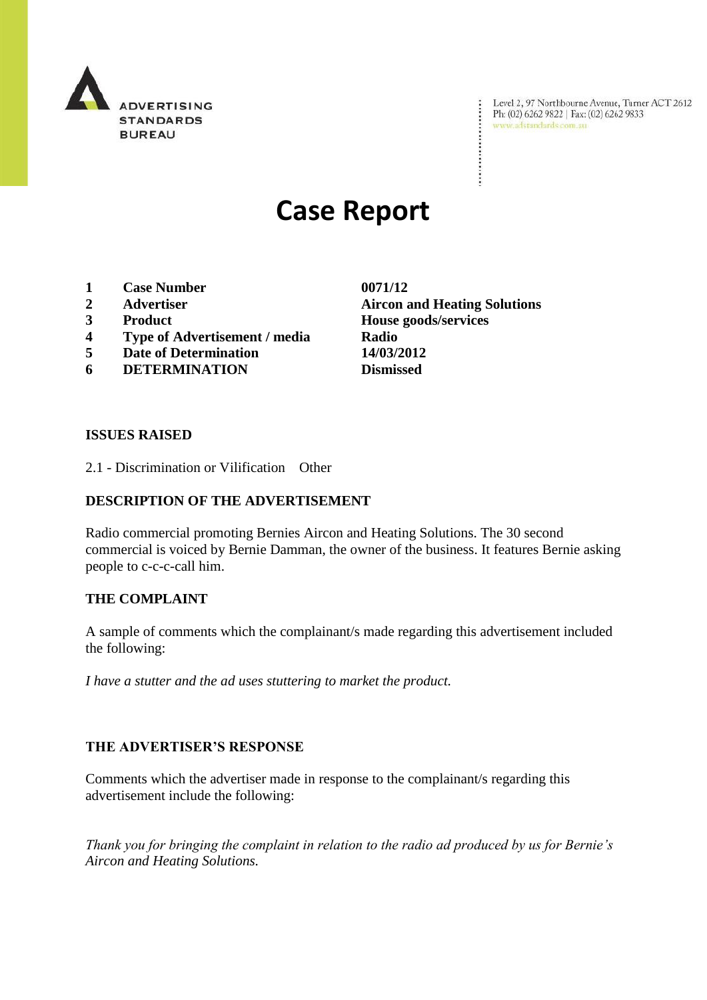

Level 2, 97 Northbourne Avenue, Turner ACT 2612<br>Ph: (02) 6262 9822 | Fax: (02) 6262 9833<br>www.adstandards.com.au

# **Case Report**

- **1 Case Number 0071/12**
- 
- 
- **4 Type of Advertisement / media Radio**
- **5 Date of Determination 14/03/2012**
- **6 DETERMINATION Dismissed**

**2 Advertiser Aircon and Heating Solutions 3 Product House goods/services**

÷

### **ISSUES RAISED**

2.1 - Discrimination or Vilification Other

## **DESCRIPTION OF THE ADVERTISEMENT**

Radio commercial promoting Bernies Aircon and Heating Solutions. The 30 second commercial is voiced by Bernie Damman, the owner of the business. It features Bernie asking people to c-c-c-call him.

#### **THE COMPLAINT**

A sample of comments which the complainant/s made regarding this advertisement included the following:

*I have a stutter and the ad uses stuttering to market the product.*

### **THE ADVERTISER'S RESPONSE**

Comments which the advertiser made in response to the complainant/s regarding this advertisement include the following:

*Thank you for bringing the complaint in relation to the radio ad produced by us for Bernie's Aircon and Heating Solutions.*